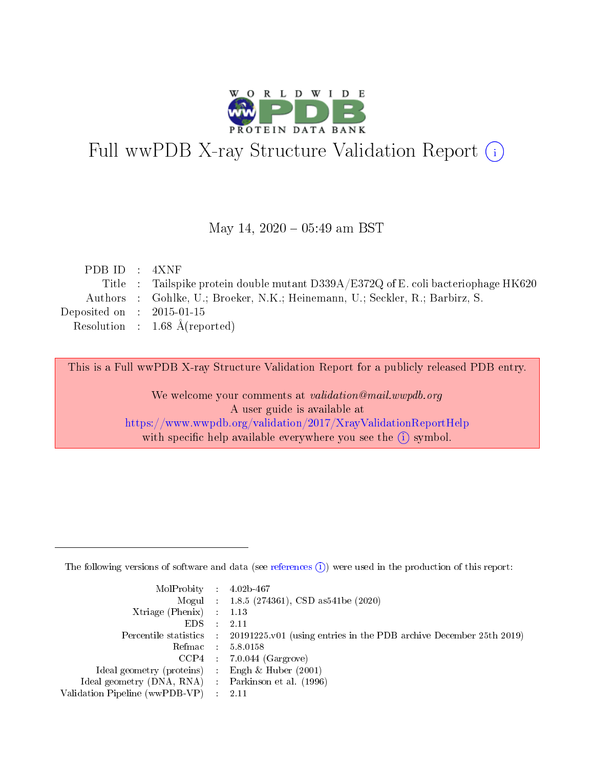

# Full wwPDB X-ray Structure Validation Report (i)

### May 14,  $2020 - 05:49$  am BST

| PDB ID $:$ 4XNF             |                                                                                    |
|-----------------------------|------------------------------------------------------------------------------------|
|                             | Title : Tailspike protein double mutant D339A/E372Q of E. coli bacteriophage HK620 |
|                             | Authors : Gohlke, U.; Broeker, N.K.; Heinemann, U.; Seckler, R.; Barbirz, S.       |
| Deposited on : $2015-01-15$ |                                                                                    |
|                             | Resolution : $1.68 \text{ Å}$ (reported)                                           |
|                             |                                                                                    |

This is a Full wwPDB X-ray Structure Validation Report for a publicly released PDB entry.

We welcome your comments at validation@mail.wwpdb.org A user guide is available at <https://www.wwpdb.org/validation/2017/XrayValidationReportHelp> with specific help available everywhere you see the  $(i)$  symbol.

The following versions of software and data (see [references](https://www.wwpdb.org/validation/2017/XrayValidationReportHelp#references)  $(1)$ ) were used in the production of this report:

| $MolProbability$ : 4.02b-467                        |                                                                                              |
|-----------------------------------------------------|----------------------------------------------------------------------------------------------|
|                                                     | Mogul : 1.8.5 (274361), CSD as 541 be (2020)                                                 |
| Xtriage (Phenix) $: 1.13$                           |                                                                                              |
| $EDS$ :                                             | -2.11                                                                                        |
|                                                     | Percentile statistics : $20191225.v01$ (using entries in the PDB archive December 25th 2019) |
| Refmac : 5.8.0158                                   |                                                                                              |
|                                                     | $CCP4$ : 7.0.044 (Gargrove)                                                                  |
| Ideal geometry (proteins) :                         | Engh $\&$ Huber (2001)                                                                       |
| Ideal geometry (DNA, RNA) : Parkinson et al. (1996) |                                                                                              |
| Validation Pipeline (wwPDB-VP) : 2.11               |                                                                                              |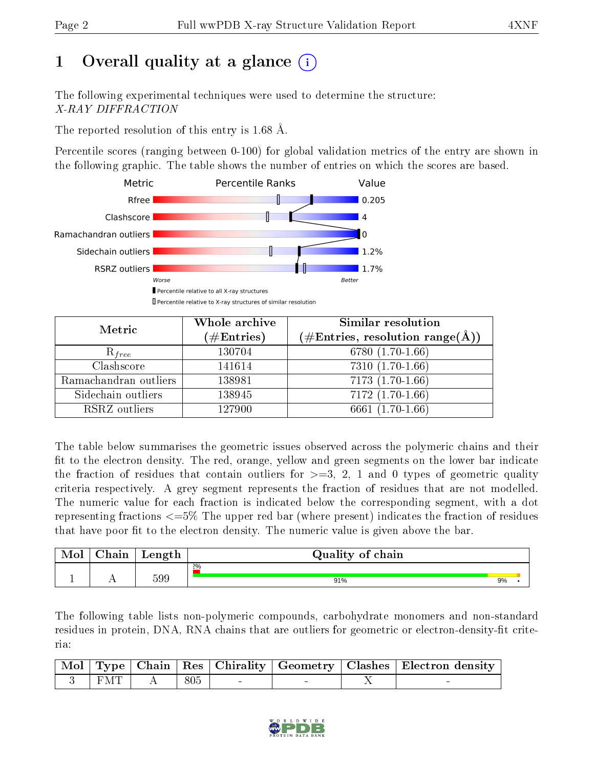# 1 [O](https://www.wwpdb.org/validation/2017/XrayValidationReportHelp#overall_quality)verall quality at a glance  $(i)$

The following experimental techniques were used to determine the structure: X-RAY DIFFRACTION

The reported resolution of this entry is 1.68 Å.

Percentile scores (ranging between 0-100) for global validation metrics of the entry are shown in the following graphic. The table shows the number of entries on which the scores are based.



| Metric                | Whole archive<br>$(\#\mathrm{Entries})$ | <b>Similar resolution</b><br>(#Entries, resolution range(Å)) |
|-----------------------|-----------------------------------------|--------------------------------------------------------------|
| $R_{free}$            | 130704                                  | 6780 (1.70-1.66)                                             |
| Clashscore            | 141614                                  | $7310(1.70-1.66)$                                            |
| Ramachandran outliers | 138981                                  | $7173(1.70-1.66)$                                            |
| Sidechain outliers    | 138945                                  | $7172(1.70-1.66)$                                            |
| RSRZ outliers         | 127900                                  | 6661 $(1.70-1.66)$                                           |

The table below summarises the geometric issues observed across the polymeric chains and their fit to the electron density. The red, orange, yellow and green segments on the lower bar indicate the fraction of residues that contain outliers for  $>=3, 2, 1$  and 0 types of geometric quality criteria respectively. A grey segment represents the fraction of residues that are not modelled. The numeric value for each fraction is indicated below the corresponding segment, with a dot representing fractions <=5% The upper red bar (where present) indicates the fraction of residues that have poor fit to the electron density. The numeric value is given above the bar.

| Mol | $\Delta$ hain | Length | Quality of chain |    |
|-----|---------------|--------|------------------|----|
|     |               |        | 2%               |    |
|     |               | 599    | 91%              | 9% |

The following table lists non-polymeric compounds, carbohydrate monomers and non-standard residues in protein, DNA, RNA chains that are outliers for geometric or electron-density-fit criteria:

|                                                                    |     |  | Mol   Type   Chain   Res   Chirality   Geometry   Clashes   Electron density |
|--------------------------------------------------------------------|-----|--|------------------------------------------------------------------------------|
| $\begin{array}{ c c c c c c } \hline 3 & FMT & \hline \end{array}$ | 805 |  |                                                                              |

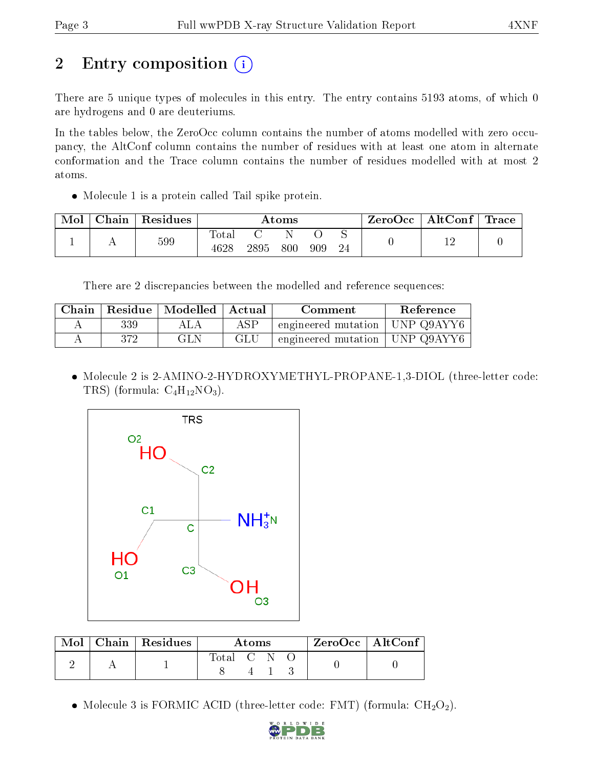# 2 Entry composition  $\left( \cdot \right)$

There are 5 unique types of molecules in this entry. The entry contains 5193 atoms, of which 0 are hydrogens and 0 are deuteriums.

In the tables below, the ZeroOcc column contains the number of atoms modelled with zero occupancy, the AltConf column contains the number of residues with at least one atom in alternate conformation and the Trace column contains the number of residues modelled with at most 2 atoms.

• Molecule 1 is a protein called Tail spike protein.

| Mol | Chain | Residues |                           |      | Atoms |     |    | ZeroOcc | $\mid$ AltConf $\mid$ | $\operatorname{Trace}$ |
|-----|-------|----------|---------------------------|------|-------|-----|----|---------|-----------------------|------------------------|
|     |       | 599      | $\mathrm{Tota}_1$<br>4628 | 2895 | 800   | 909 | 24 |         |                       |                        |

There are 2 discrepancies between the modelled and reference sequences:

|     | Chain   Residue   Modelled   Actual |     | Comment                          | Reference |
|-----|-------------------------------------|-----|----------------------------------|-----------|
| 339 | ALA                                 | ASP | engineered mutation   UNP Q9AYY6 |           |
| 372 | GLN                                 | GLU | engineered mutation   UNP Q9AYY6 |           |

 Molecule 2 is 2-AMINO-2-HYDROXYMETHYL-PROPANE-1,3-DIOL (three-letter code: TRS) (formula:  $C_4H_{12}NO_3$ ).



|  | $\text{Mol}$   Chain   Residues |             | A toms |  | $^\mathrm{+}$ ZeroOcc   AltConf |  |
|--|---------------------------------|-------------|--------|--|---------------------------------|--|
|  |                                 | Total C N O |        |  |                                 |  |

• Molecule 3 is FORMIC ACID (three-letter code: FMT) (formula:  $CH<sub>2</sub>O<sub>2</sub>$ ).

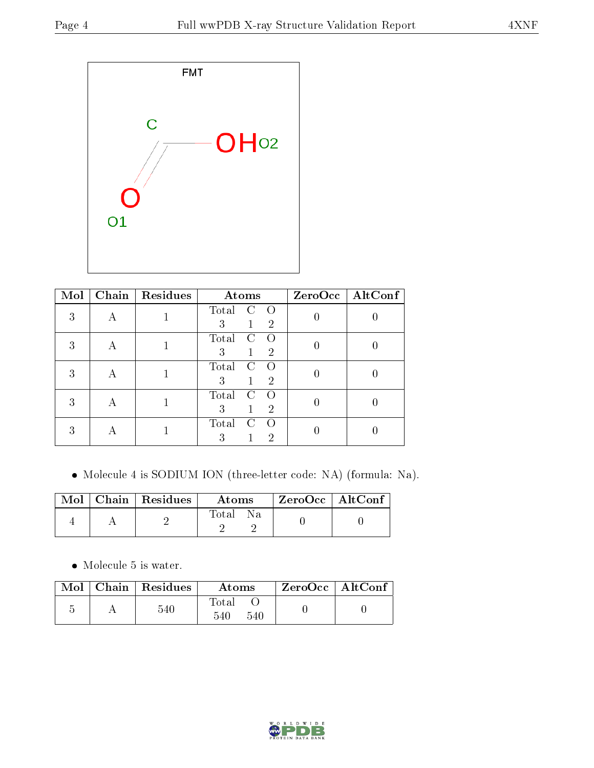

| Mol | Chain | Residues | Atoms                                                         | ZeroOcc   AltConf |
|-----|-------|----------|---------------------------------------------------------------|-------------------|
| 3   |       |          | Total<br>$\left( \right)$<br>3<br>$\overline{2}$              |                   |
| 3   | А     |          | Total<br>$\left( \right)$<br>€.<br>3<br>$\overline{2}$        |                   |
| 3   | А     |          | Total<br>$\overline{2}$<br>3                                  |                   |
| 3   | А     |          | Total<br>3<br>$\overline{2}$                                  |                   |
|     |       |          | Total<br>$\left( \right)$<br>$\left( \cdot \right)$<br>3<br>2 |                   |

Molecule 4 is SODIUM ION (three-letter code: NA) (formula: Na).

|  | $Mol$   Chain   Residues | Atoms | $^\mathrm{+}$ ZeroOcc $\mathrm{~\vert}$ AltConf $\mathrm{~\vert}$ |  |
|--|--------------------------|-------|-------------------------------------------------------------------|--|
|  |                          | Total |                                                                   |  |

 $\bullet\,$  Molecule 5 is water.

|  | Mol   Chain   Residues | Atoms               | ZeroOcc   AltConf |  |
|--|------------------------|---------------------|-------------------|--|
|  | 540                    | Total<br>540<br>540 |                   |  |

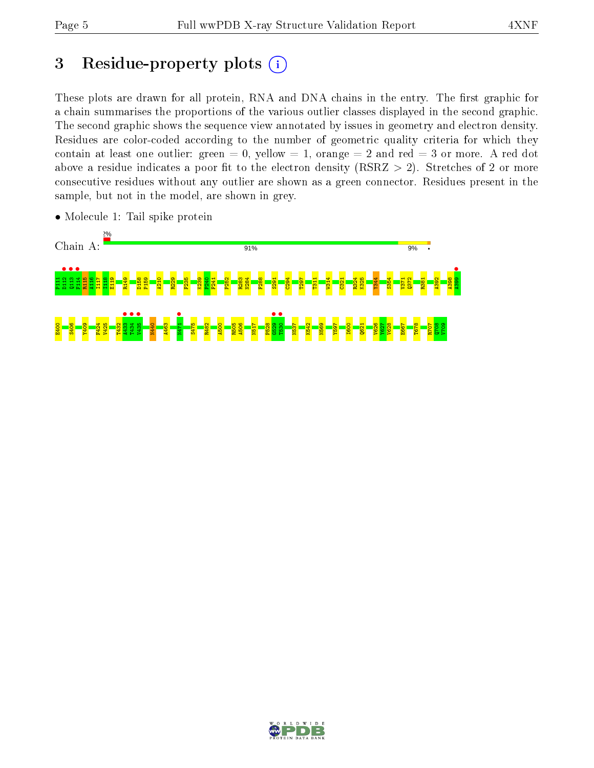# 3 Residue-property plots  $(i)$

These plots are drawn for all protein, RNA and DNA chains in the entry. The first graphic for a chain summarises the proportions of the various outlier classes displayed in the second graphic. The second graphic shows the sequence view annotated by issues in geometry and electron density. Residues are color-coded according to the number of geometric quality criteria for which they contain at least one outlier: green  $= 0$ , yellow  $= 1$ , orange  $= 2$  and red  $= 3$  or more. A red dot above a residue indicates a poor fit to the electron density (RSRZ  $> 2$ ). Stretches of 2 or more consecutive residues without any outlier are shown as a green connector. Residues present in the sample, but not in the model, are shown in grey.



• Molecule 1: Tail spike protein

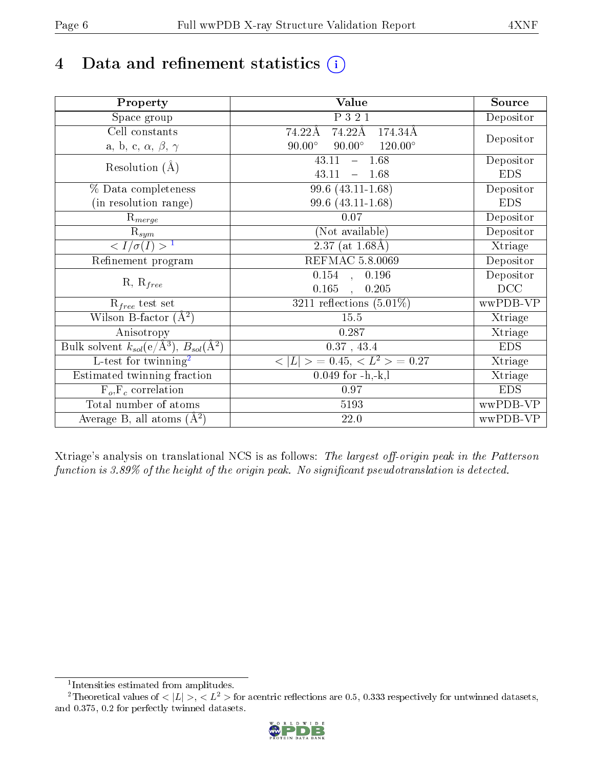# 4 Data and refinement statistics  $(i)$

| Property                                                             | Value                                              | Source     |
|----------------------------------------------------------------------|----------------------------------------------------|------------|
| Space group                                                          | P 3 2 1                                            | Depositor  |
| Cell constants                                                       | 74.22Å<br>74.22Å<br>174.34Å                        |            |
| a, b, c, $\alpha$ , $\beta$ , $\gamma$                               | $90.00^\circ$<br>$120.00^{\circ}$<br>$90.00^\circ$ | Depositor  |
| Resolution $(A)$                                                     | $-1.68$<br>43.11                                   | Depositor  |
|                                                                      | 43.11<br>1.68                                      | <b>EDS</b> |
| % Data completeness                                                  | 99.6 (43.11-1.68)                                  | Depositor  |
| (in resolution range)                                                | 99.6 (43.11-1.68)                                  | <b>EDS</b> |
| $\mathrm{R}_{merge}$                                                 | 0.07                                               | Depositor  |
| $\mathrm{R}_{sym}$                                                   | (Not available)                                    | Depositor  |
| $\sqrt{I/\sigma(I)} > 1$                                             | $\overline{2.37}$ (at 1.68Å)                       | Xtriage    |
| Refinement program                                                   | <b>REFMAC 5.8.0069</b>                             | Depositor  |
|                                                                      | $0.154$ , $0.196$                                  | Depositor  |
| $R, R_{free}$                                                        | 0.165<br>0.205<br>$\ddot{\phantom{a}}$             | DCC        |
| $R_{free}$ test set                                                  | 3211 reflections $(5.01\%)$                        | wwPDB-VP   |
| Wilson B-factor $(A^2)$                                              | 15.5                                               | Xtriage    |
| Anisotropy                                                           | 0.287                                              | Xtriage    |
| Bulk solvent $k_{sol}(e/\mathring{A}^3)$ , $B_{sol}(\mathring{A}^2)$ | $0.37$ , 43.4                                      | <b>EDS</b> |
| $\overline{L-test for}$ twinning <sup>2</sup>                        | $< L >$ = 0.45, $< L2$ > = 0.27                    | Xtriage    |
| Estimated twinning fraction                                          | $0.049$ for $-h,-k,l$                              | Xtriage    |
| $F_o, F_c$ correlation                                               | 0.97                                               | <b>EDS</b> |
| Total number of atoms                                                | 5193                                               | wwPDB-VP   |
| Average B, all atoms $(A^2)$                                         | 22.0                                               | wwPDB-VP   |

Xtriage's analysis on translational NCS is as follows: The largest off-origin peak in the Patterson function is  $3.89\%$  of the height of the origin peak. No significant pseudotranslation is detected.

<sup>&</sup>lt;sup>2</sup>Theoretical values of  $\langle |L| \rangle$ ,  $\langle L^2 \rangle$  for acentric reflections are 0.5, 0.333 respectively for untwinned datasets, and 0.375, 0.2 for perfectly twinned datasets.



<span id="page-5-1"></span><span id="page-5-0"></span><sup>1</sup> Intensities estimated from amplitudes.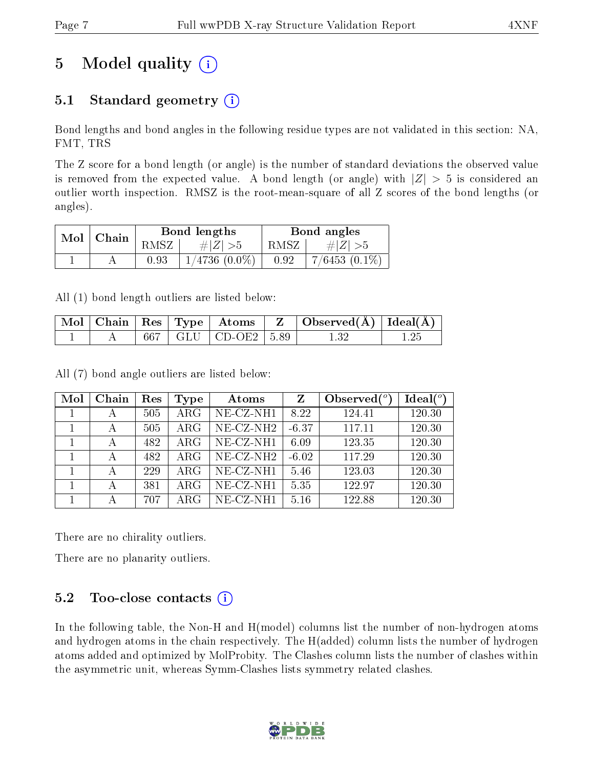# 5 Model quality  $(i)$

## 5.1 Standard geometry  $(i)$

Bond lengths and bond angles in the following residue types are not validated in this section: NA, FMT, TRS

The Z score for a bond length (or angle) is the number of standard deviations the observed value is removed from the expected value. A bond length (or angle) with  $|Z| > 5$  is considered an outlier worth inspection. RMSZ is the root-mean-square of all Z scores of the bond lengths (or angles).

| Mol | ' Chain |      | Bond lengths       |      | Bond angles        |
|-----|---------|------|--------------------|------|--------------------|
|     |         | RMSZ | # $ Z  > 5$        | RMSZ | $\# Z  > 5$        |
|     |         | 0.93 | $1/4736$ $(0.0\%)$ | 0.92 | $7/6453$ $(0.1\%)$ |

All (1) bond length outliers are listed below:

|  |  |                           | $\mid$ Mol $\mid$ Chain $\mid$ Res $\mid$ Type $\mid$ Atoms $\mid$ Z $\mid$ Observed(A) $\mid$ Ideal(A) $\mid$ |  |
|--|--|---------------------------|----------------------------------------------------------------------------------------------------------------|--|
|  |  | 667   GLU   CD-OE2   5.89 |                                                                                                                |  |

All (7) bond angle outliers are listed below:

| Mol | Chain | Res | <b>Type</b> | Atoms                    | Z       | Observed $\binom{o}{c}$ | Ideal $(°)$ |
|-----|-------|-----|-------------|--------------------------|---------|-------------------------|-------------|
|     | А     | 505 | $\rm{ARG}$  | $NE-CZ-NH1$              | 8.22    | 124.41                  | 120.30      |
|     | А     | 505 | $\rm{ARG}$  | $NE$ -CZ-NH <sub>2</sub> | $-6.37$ | 117.11                  | 120.30      |
|     | А     | 482 | $\rm{ARG}$  | NE-CZ-NH1                | 6.09    | 123.35                  | 120.30      |
|     | А     | 482 | $\rm{ARG}$  | $NE- CZ-NH2$             | $-6.02$ | 117.29                  | 120.30      |
|     |       | 229 | $\rm{ARG}$  | NE-CZ-NH1                | 5.46    | 123.03                  | 120.30      |
|     | А     | 381 | $\rm{ARG}$  | $NE- CZ-NH1$             | 5.35    | 122.97                  | 120.30      |
|     |       | 707 | ARG         | $NE-CZ-NH1$              | 5.16    | 122.88                  | 120.30      |

There are no chirality outliers.

There are no planarity outliers.

### 5.2 Too-close contacts  $(i)$

In the following table, the Non-H and H(model) columns list the number of non-hydrogen atoms and hydrogen atoms in the chain respectively. The H(added) column lists the number of hydrogen atoms added and optimized by MolProbity. The Clashes column lists the number of clashes within the asymmetric unit, whereas Symm-Clashes lists symmetry related clashes.

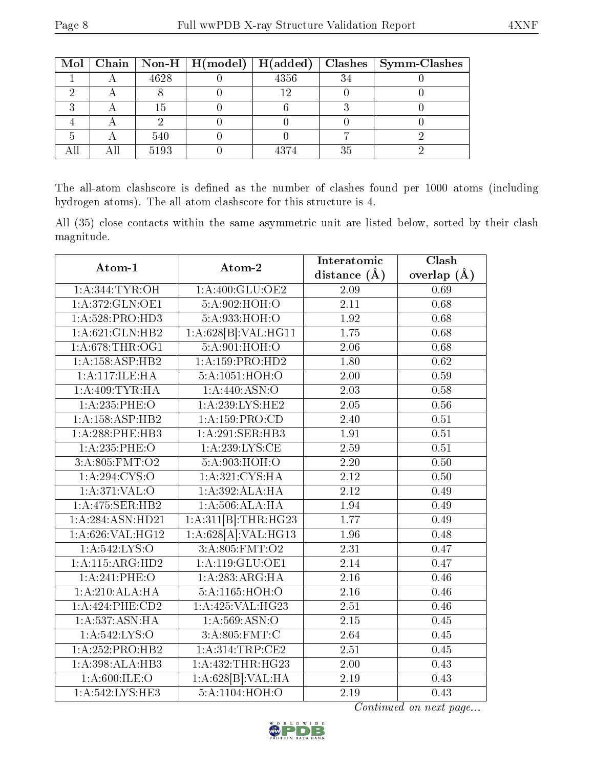|  |      | Mol   Chain   Non-H   H(model)   H(added) |      |    | Clashes   Symm-Clashes |
|--|------|-------------------------------------------|------|----|------------------------|
|  | 4628 |                                           | 4356 | 34 |                        |
|  |      |                                           | 1 ດ  |    |                        |
|  | T.5  |                                           |      |    |                        |
|  |      |                                           |      |    |                        |
|  | 540  |                                           |      |    |                        |
|  | 5193 |                                           |      | 35 |                        |

The all-atom clashscore is defined as the number of clashes found per 1000 atoms (including hydrogen atoms). The all-atom clashscore for this structure is 4.

All (35) close contacts within the same asymmetric unit are listed below, sorted by their clash magnitude.

| Atom-1             | Atom-2                       | Interatomic       | Clash           |
|--------------------|------------------------------|-------------------|-----------------|
|                    |                              | distance $(A)$    | overlap $(\AA)$ |
| 1: A:344:TYR:OH    | 1:A:400:GLU:OE2              | 2.09              | 0.69            |
| 1: A:372: GLN: OE1 | 5:A:902:HOH:O                | 2.11              | 0.68            |
| 1: A:528: PRO:HD3  | 5:A:933:HOH:O                | 1.92              | 0.68            |
| 1: A:621: GLN:HB2  | 1:A:628[B]:VAL:HG11          | 1.75              | 0.68            |
| 1: A:678:THR:OG1   | 5:A:901:HOH:O                | $\overline{2.06}$ | 0.68            |
| 1:A:158:ASP:HB2    | 1: A: 159: PRO: HD2          | 1.80              | 0.62            |
| 1:A:117:ILE:HA     | 5:A:1051:HOH:O               | 2.00              | 0.59            |
| 1:A:409:TYR:HA     | 1: A:440: ASN:O              | 2.03              | 0.58            |
| $1: A:235:$ PHE:O  | $1:A:239:LYS:H\overline{E2}$ | 2.05              | 0.56            |
| 1:A:158:ASP:HB2    | 1:A:159:PRO:CD               | 2.40              | 0.51            |
| 1:A:288:PHE:HB3    | 1:A:291:SER:HB3              | 1.91              | 0.51            |
| $1: A:235:$ PHE:O  | 1: A:239: LYS: CE            | 2.59              | 0.51            |
| 3:A:805:FMT:O2     | 5:A:903:HOH:O                | 2.20              | 0.50            |
| 1: A:294: CYS:O    | 1:A:321:CYS:HA               | 2.12              | 0.50            |
| 1: A:371: VAL:O    | 1:A:392:ALA:HA               | 2.12              | 0.49            |
| 1: A:475: SER:HB2  | 1:A:506:ALA:HA               | 1.94              | 0.49            |
| 1:A:284:ASN:HD21   | 1:A:311[B]:THR:HG23          | 1.77              | 0.49            |
| 1:A:626:VAL:HG12   | 1:A:628[A]:VAL:HG13          | 1.96              | 0.48            |
| 1: A:542: LYS:O    | 3:A:805:FMT:O2               | 2.31              | 0.47            |
| 1:A:115:ARG:HD2    | 1: A:119: GLU:OE1            | 2.14              | 0.47            |
| $1: A:241:$ PHE:O  | 1:A:283:ARG:HA               | 2.16              | 0.46            |
| 1:A:210:ALA:HA     | 5:A:1165:HOH:O               | $\overline{2.16}$ | 0.46            |
| 1:A:424:PHE:CD2    | 1:A:425:VAL:HG23             | 2.51              | 0.46            |
| 1: A: 537: ASN: HA | 1: A:569: ASN:O              | 2.15              | 0.45            |
| 1: A:542:LYS:O     | 3: A:805: FMT: C             | 2.64              | 0.45            |
| 1:A:252:PRO:HB2    | 1: A:314:TRP:CE2             | 2.51              | 0.45            |
| 1:A:398:ALA:HB3    | 1: A: 432: THR: HG23         | 2.00              | 0.43            |
| 1: A:600: ILE:O    | 1:A:628[B]:VAL:HA            | 2.19              | 0.43            |
| 1: A:542:LYS:HE3   | 5:A:1104:HOH:O               | 2.19              | 0.43            |

Continued on next page...

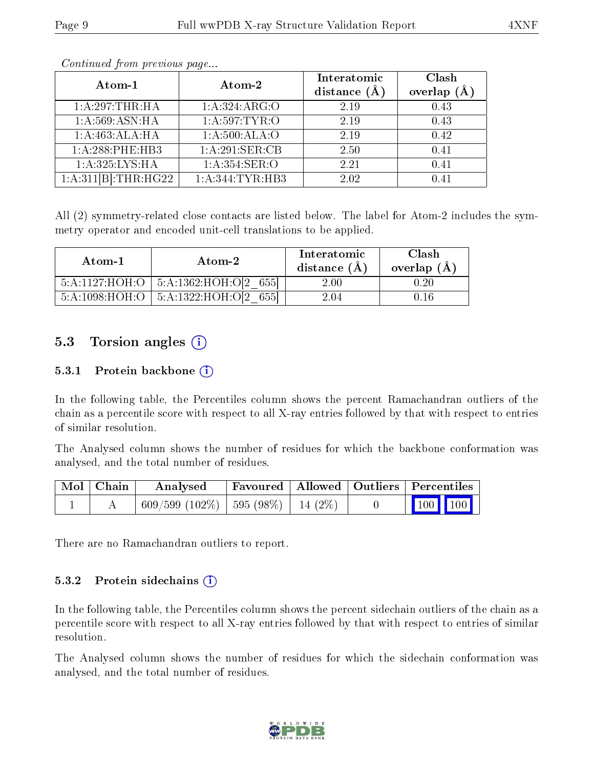| Atom-1              | Atom-2            | Interatomic<br>distance $(A)$ | Clash<br>(A)<br>overlap |
|---------------------|-------------------|-------------------------------|-------------------------|
| 1:A:297:THR:HA      | 1: A: 324: ARG: O | 2.19                          | 0.43                    |
| 1:A:569:ASN:HA      | 1: A:597:TYR:O    | 2.19                          | 0.43                    |
| 1:A:463:ALA:HA      | 1: A:500: ALA:O   | 2.19                          | 0.42                    |
| 1:A:288:PHE:HB3     | 1: A:291: SER: CB | 2.50                          | 0.41                    |
| 1: A:325:LYS:HA     | 1: A:354: SER:O   | 2.21                          | 0.41                    |
| 1:A:311[B]:THR:HG22 | 1: A:344: TYR:HB3 | 2.02                          | በ 41                    |

Continued from previous page...

All (2) symmetry-related close contacts are listed below. The label for Atom-2 includes the symmetry operator and encoded unit-cell translations to be applied.

| Atom-1         | Atom-2                      | Interatomic<br>distance $(A)$ | Clash<br>overlap $(A)$ |
|----------------|-----------------------------|-------------------------------|------------------------|
| 5:A:1127:HOH:O | $\pm$ 5:A:1362:HOH:O[2 655] | $2.00\,$                      | ).20                   |
| 5:A:1098:HOH:O | 5:A:1322:HOH:O[2]<br>6551   | 2.04                          |                        |

### 5.3 Torsion angles  $(i)$

#### 5.3.1 Protein backbone  $(i)$

In the following table, the Percentiles column shows the percent Ramachandran outliers of the chain as a percentile score with respect to all X-ray entries followed by that with respect to entries of similar resolution.

The Analysed column shows the number of residues for which the backbone conformation was analysed, and the total number of residues.

| Mol   Chain | Analysed                             |  | Favoured   Allowed   Outliers   Percentiles |         |  |
|-------------|--------------------------------------|--|---------------------------------------------|---------|--|
|             | 609/599 (102%)   595 (98%)   14 (2%) |  |                                             | 100 100 |  |

There are no Ramachandran outliers to report.

#### $5.3.2$  Protein sidechains  $(i)$

In the following table, the Percentiles column shows the percent sidechain outliers of the chain as a percentile score with respect to all X-ray entries followed by that with respect to entries of similar resolution.

The Analysed column shows the number of residues for which the sidechain conformation was analysed, and the total number of residues.

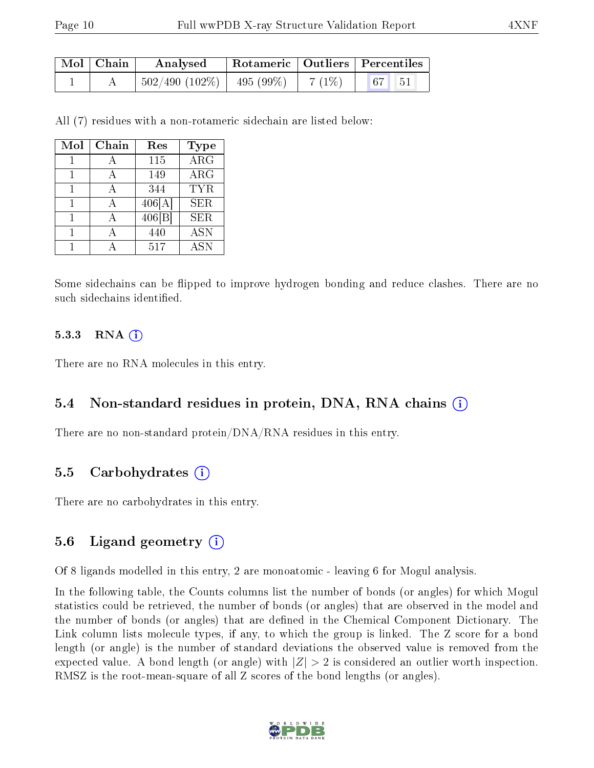| Mol   Chain | Analysed                        | Rotameric   Outliers   Percentiles |        |                                                                   |  |
|-------------|---------------------------------|------------------------------------|--------|-------------------------------------------------------------------|--|
|             | $^+$ 502/490 (102%)   495 (99%) |                                    | 7 (1%) | $\begin{array}{ c c c c c } \hline 67 & 51 \\ \hline \end{array}$ |  |

All (7) residues with a non-rotameric sidechain are listed below:

| Mol | Chain | Res    | <b>Type</b> |
|-----|-------|--------|-------------|
|     |       | 115    | <b>ARG</b>  |
|     |       | 149    | ARG         |
|     |       | 344    | TYR.        |
|     |       | 406[A] | <b>SER</b>  |
|     |       | 406 B  | <b>SER</b>  |
|     |       | 440    | <b>ASN</b>  |
|     |       | 517    | <b>ASN</b>  |

Some sidechains can be flipped to improve hydrogen bonding and reduce clashes. There are no such sidechains identified.

#### $5.3.3$  RNA  $(i)$

There are no RNA molecules in this entry.

#### 5.4 Non-standard residues in protein, DNA, RNA chains (i)

There are no non-standard protein/DNA/RNA residues in this entry.

#### 5.5 Carbohydrates (i)

There are no carbohydrates in this entry.

#### 5.6 Ligand geometry (i)

Of 8 ligands modelled in this entry, 2 are monoatomic - leaving 6 for Mogul analysis.

In the following table, the Counts columns list the number of bonds (or angles) for which Mogul statistics could be retrieved, the number of bonds (or angles) that are observed in the model and the number of bonds (or angles) that are dened in the Chemical Component Dictionary. The Link column lists molecule types, if any, to which the group is linked. The Z score for a bond length (or angle) is the number of standard deviations the observed value is removed from the expected value. A bond length (or angle) with  $|Z| > 2$  is considered an outlier worth inspection. RMSZ is the root-mean-square of all Z scores of the bond lengths (or angles).

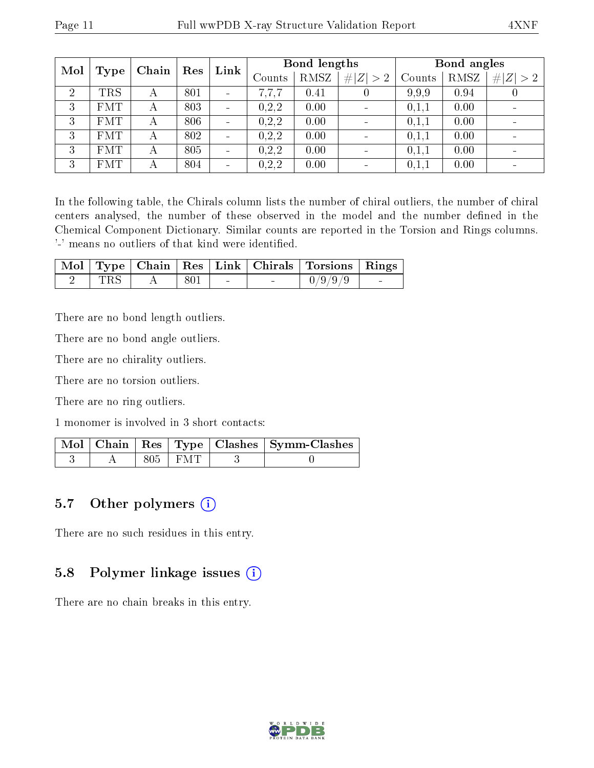| Mol<br><b>Type</b> |            | Chain | Res | Link                     | Bond lengths |      |                          | Bond angles |             |           |
|--------------------|------------|-------|-----|--------------------------|--------------|------|--------------------------|-------------|-------------|-----------|
|                    |            |       |     |                          | Counts       | RMSZ | # $ Z  > 2$              | Counts      | <b>RMSZ</b> | Z >2<br># |
| $\overline{2}$     | <b>TRS</b> | А     | 801 | ÷                        | .7.7         | 0.41 |                          | 9.9.9       | 0.94        |           |
| 3                  | <b>FMT</b> | А     | 803 | $\overline{\phantom{a}}$ | 0,2,2        | 0.00 |                          | 0,1,1       | 0.00        |           |
| 3                  | <b>FMT</b> | А     | 806 | $\overline{\phantom{a}}$ | 0,2,2        | 0.00 | $\overline{\phantom{a}}$ | 0,1,1       | 0.00        |           |
| 3                  | <b>FMT</b> | А     | 802 | $\blacksquare$           | 0, 2, 2      | 0.00 |                          | 0,1,1       | 0.00        |           |
| 3                  | <b>FMT</b> | А     | 805 | $\blacksquare$           | 0,2,2        | 0.00 |                          | 0,1,1       | 0.00        |           |
| 3                  | <b>FMT</b> |       | 804 | $\blacksquare$           | 0,2,2        | 0.00 |                          | 0,1,1       | 0.00        |           |

In the following table, the Chirals column lists the number of chiral outliers, the number of chiral centers analysed, the number of these observed in the model and the number defined in the Chemical Component Dictionary. Similar counts are reported in the Torsion and Rings columns. '-' means no outliers of that kind were identified.

|     |  |  | Mol   Type   Chain   Res   Link   Chirals   Torsions   Rings |                          |
|-----|--|--|--------------------------------------------------------------|--------------------------|
| TRS |  |  | 0/9/9/9                                                      | <b>Contract Contract</b> |

There are no bond length outliers.

There are no bond angle outliers.

There are no chirality outliers.

There are no torsion outliers.

There are no ring outliers.

1 monomer is involved in 3 short contacts:

|  |             | $\lceil \text{Mol} \rceil$ Chain   Res   Type   Clashes   Symm-Clashes |
|--|-------------|------------------------------------------------------------------------|
|  | $805$   FMT |                                                                        |

#### 5.7 [O](https://www.wwpdb.org/validation/2017/XrayValidationReportHelp#nonstandard_residues_and_ligands)ther polymers (i)

There are no such residues in this entry.

#### 5.8 Polymer linkage issues (i)

There are no chain breaks in this entry.

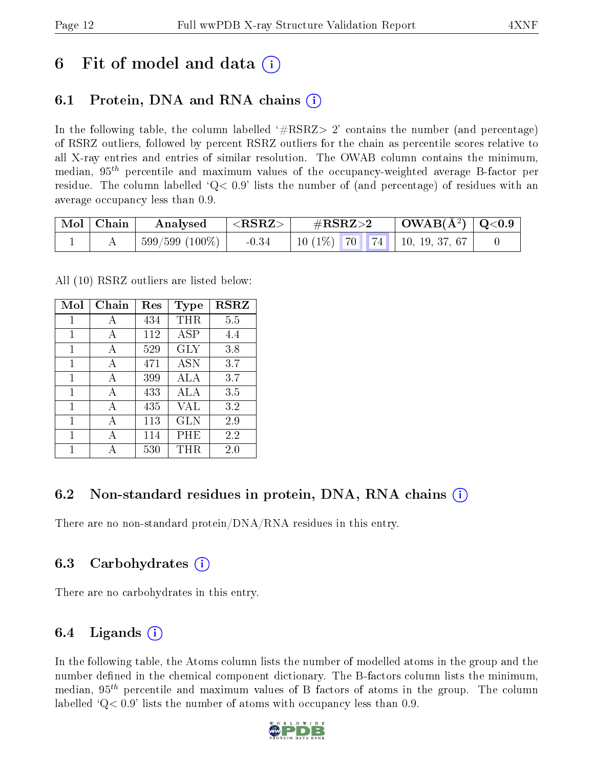## 6 Fit of model and data  $\left( \cdot \right)$

### 6.1 Protein, DNA and RNA chains (i)

In the following table, the column labelled  $#RSRZ>2'$  contains the number (and percentage) of RSRZ outliers, followed by percent RSRZ outliers for the chain as percentile scores relative to all X-ray entries and entries of similar resolution. The OWAB column contains the minimum, median,  $95<sup>th</sup>$  percentile and maximum values of the occupancy-weighted average B-factor per residue. The column labelled  $Q< 0.9$  lists the number of (and percentage) of residues with an average occupancy less than 0.9.

| $\mid$ Mol $\mid$ Chain | Analysed                     | ${ <\hspace{-1.5pt} {\rm RSRZ} \hspace{-1.5pt}>}$ | $\#\text{RSRZ}{>}2$                | $\mid$ OWAB(Å $^2)$ $\mid$ Q<0.9 $\mid$ |  |
|-------------------------|------------------------------|---------------------------------------------------|------------------------------------|-----------------------------------------|--|
|                         | $\frac{1}{2}$ 599/599 (100%) | $-0.34$                                           | 10 (1%)   70   74   10, 19, 37, 67 |                                         |  |

All (10) RSRZ outliers are listed below:

| Mol          | Chain | Res | Type       | <b>RSRZ</b> |
|--------------|-------|-----|------------|-------------|
| 1            | A     | 434 | THR        | 5.5         |
| 1            | A     | 112 | <b>ASP</b> | 4.4         |
| 1            | А     | 529 | <b>GLY</b> | 3.8         |
| 1            | A     | 471 | <b>ASN</b> | 3.7         |
| 1            | A     | 399 | ALA        | 3.7         |
| 1            | A     | 433 | ALA        | 3.5         |
| $\mathbf{1}$ | A     | 435 | <b>VAL</b> | 3.2         |
| 1            | A     | 113 | GLN        | 2.9         |
| 1            | А     | 114 | $\rm PHE$  | 2.2         |
| 1            |       | 530 | TH R       | $2.0\,$     |

### 6.2 Non-standard residues in protein, DNA, RNA chains (i)

There are no non-standard protein/DNA/RNA residues in this entry.

### 6.3 Carbohydrates (i)

There are no carbohydrates in this entry.

### 6.4 Ligands  $(i)$

In the following table, the Atoms column lists the number of modelled atoms in the group and the number defined in the chemical component dictionary. The B-factors column lists the minimum, median,  $95<sup>th</sup>$  percentile and maximum values of B factors of atoms in the group. The column labelled  $Q< 0.9$ ' lists the number of atoms with occupancy less than 0.9.